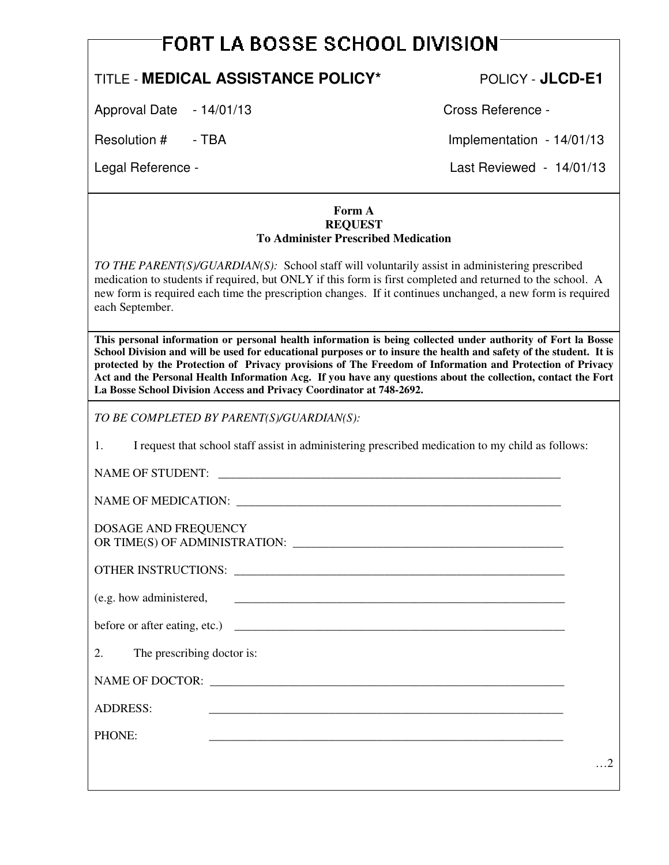## **FORT LA BOSSE SCHOOL DIVISION**

## TITLE - **MEDICAL ASSISTANCE POLICY\*** POLICY - **JLCD-E1**

Approval Date - 14/01/13 Cross Reference -

Resolution # - TBA Implementation - 14/01/13

Legal Reference - Last Reviewed - 14/01/13

## **Form A REQUEST To Administer Prescribed Medication**

*TO THE PARENT(S)/GUARDIAN(S):* School staff will voluntarily assist in administering prescribed medication to students if required, but ONLY if this form is first completed and returned to the school. A new form is required each time the prescription changes. If it continues unchanged, a new form is required each September.

**This personal information or personal health information is being collected under authority of Fort la Bosse School Division and will be used for educational purposes or to insure the health and safety of the student. It is protected by the Protection of Privacy provisions of The Freedom of Information and Protection of Privacy Act and the Personal Health Information Acg. If you have any questions about the collection, contact the Fort La Bosse School Division Access and Privacy Coordinator at 748-2692.** 

*TO BE COMPLETED BY PARENT(S)/GUARDIAN(S):* 

1. I request that school staff assist in administering prescribed medication to my child as follows:

NAME OF STUDENT: \_\_\_\_\_\_\_\_\_\_\_\_\_\_\_\_\_\_\_\_\_\_\_\_\_\_\_\_\_\_\_\_\_\_\_\_\_\_\_\_\_\_\_\_\_\_\_\_\_\_\_\_\_\_\_\_\_

NAME OF MEDICATION:

DOSAGE AND FREQUENCY OR TIME(S) OF ADMINISTRATION:

OTHER INSTRUCTIONS: \_\_\_\_\_\_\_\_\_\_\_\_\_\_\_\_\_\_\_\_\_\_\_\_\_\_\_\_\_\_\_\_\_\_\_\_\_\_\_\_\_\_\_\_\_\_\_\_\_\_\_\_\_\_\_

 $(e.g. how administered,$ 

before or after eating, etc.)  $\qquad \qquad$ 

2. The prescribing doctor is:

NAME OF DOCTOR: \_\_\_\_\_\_\_\_\_\_\_\_\_\_\_\_\_\_\_\_\_\_\_\_\_\_\_\_\_\_\_\_\_\_\_\_\_\_\_\_\_\_\_\_\_\_\_\_\_\_\_\_\_\_\_\_\_\_\_

ADDRESS: \_\_\_\_\_\_\_\_\_\_\_\_\_\_\_\_\_\_\_\_\_\_\_\_\_\_\_\_\_\_\_\_\_\_\_\_\_\_\_\_\_\_\_\_\_\_\_\_\_\_\_\_\_\_\_\_\_\_\_

PHONE: \_\_\_\_\_\_\_\_\_\_\_\_\_\_\_\_\_\_\_\_\_\_\_\_\_\_\_\_\_\_\_\_\_\_\_\_\_\_\_\_\_\_\_\_\_\_\_\_\_\_\_\_\_\_\_\_\_\_\_

…2